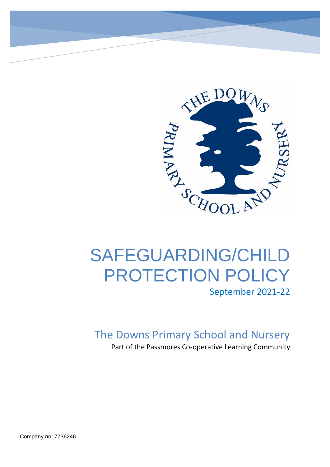

# SAFEGUARDING/CHILD PROTECTION POLICY September 2021-22

The Downs Primary School and Nursery

Part of the Passmores Co-operative Learning Community

Company no: 7736246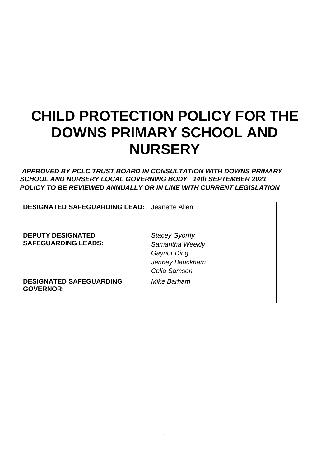# **CHILD PROTECTION POLICY FOR THE DOWNS PRIMARY SCHOOL AND NURSERY**

*APPROVED BY PCLC TRUST BOARD IN CONSULTATION WITH DOWNS PRIMARY SCHOOL AND NURSERY LOCAL GOVERNING BODY 14th SEPTEMBER 2021 POLICY TO BE REVIEWED ANNUALLY OR IN LINE WITH CURRENT LEGISLATION* 

| <b>DESIGNATED SAFEGUARDING LEAD:</b>               | Jeanette Allen        |
|----------------------------------------------------|-----------------------|
|                                                    |                       |
| <b>DEPUTY DESIGNATED</b>                           | <b>Stacey Gyorffy</b> |
| <b>SAFEGUARDING LEADS:</b>                         | Samantha Weekly       |
|                                                    | Gaynor Ding           |
|                                                    | Jenney Bauckham       |
|                                                    | Celia Samson          |
| <b>DESIGNATED SAFEGUARDING</b><br><b>GOVERNOR:</b> | Mike Barham           |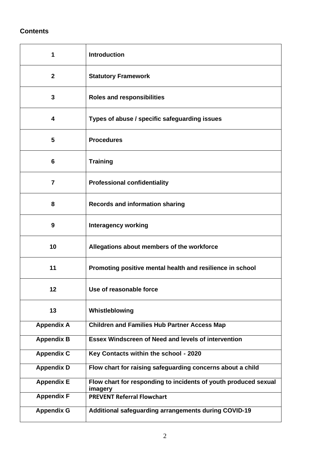# **Contents**

| 1                 | <b>Introduction</b>                                                        |
|-------------------|----------------------------------------------------------------------------|
| $\mathbf{2}$      | <b>Statutory Framework</b>                                                 |
| 3                 | <b>Roles and responsibilities</b>                                          |
| 4                 | Types of abuse / specific safeguarding issues                              |
| 5                 | <b>Procedures</b>                                                          |
| 6                 | <b>Training</b>                                                            |
| 7                 | <b>Professional confidentiality</b>                                        |
| 8                 | <b>Records and information sharing</b>                                     |
| 9                 | <b>Interagency working</b>                                                 |
| 10                | Allegations about members of the workforce                                 |
| 11                | Promoting positive mental health and resilience in school                  |
| 12                | Use of reasonable force                                                    |
| 13                | Whistleblowing                                                             |
| <b>Appendix A</b> | <b>Children and Families Hub Partner Access Map</b>                        |
| <b>Appendix B</b> | <b>Essex Windscreen of Need and levels of intervention</b>                 |
| Appendix C        | Key Contacts within the school - 2020                                      |
| <b>Appendix D</b> | Flow chart for raising safeguarding concerns about a child                 |
| <b>Appendix E</b> | Flow chart for responding to incidents of youth produced sexual<br>imagery |
| <b>Appendix F</b> | <b>PREVENT Referral Flowchart</b>                                          |
| <b>Appendix G</b> | Additional safeguarding arrangements during COVID-19                       |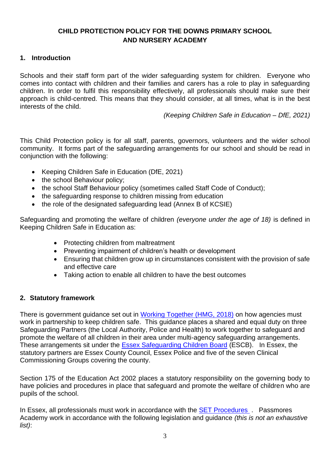# **CHILD PROTECTION POLICY FOR THE DOWNS PRIMARY SCHOOL AND NURSERY ACADEMY**

#### **1. Introduction**

Schools and their staff form part of the wider safeguarding system for children. Everyone who comes into contact with children and their families and carers has a role to play in safeguarding children. In order to fulfil this responsibility effectively, all professionals should make sure their approach is child-centred. This means that they should consider, at all times, what is in the best interests of the child.

*(Keeping Children Safe in Education – DfE, 2021)*

This Child Protection policy is for all staff, parents, governors, volunteers and the wider school community. It forms part of the safeguarding arrangements for our school and should be read in conjunction with the following:

- Keeping Children Safe in Education (DfE, 2021)
- the school Behaviour policy;
- the school Staff Behaviour policy (sometimes called Staff Code of Conduct);
- the safeguarding response to children missing from education
- the role of the designated safeguarding lead (Annex B of KCSIE)

Safeguarding and promoting the welfare of children *(everyone under the age of 18)* is defined in Keeping Children Safe in Education as:

- Protecting children from maltreatment
- Preventing impairment of children's health or development
- Ensuring that children grow up in circumstances consistent with the provision of safe and effective care
- Taking action to enable all children to have the best outcomes

#### **2. Statutory framework**

There is government guidance set out in [Working Together \(HMG, 2018\)](https://assets.publishing.service.gov.uk/government/uploads/system/uploads/attachment_data/file/729914/Working_Together_to_Safeguard_Children-2018.pdf) on how agencies must work in partnership to keep children safe. This guidance places a shared and equal duty on three Safeguarding Partners (the Local Authority, Police and Health) to work together to safeguard and promote the welfare of all children in their area under multi-agency safeguarding arrangements. These arrangements sit under the [Essex Safeguarding Children Board](http://www.escb.co.uk/Home.aspx) (ESCB). In Essex, the statutory partners are Essex County Council, Essex Police and five of the seven Clinical Commissioning Groups covering the county.

Section 175 of the Education Act 2002 places a statutory responsibility on the governing body to have policies and procedures in place that safeguard and promote the welfare of children who are pupils of the school.

In Essex, all professionals must work in accordance with the [SET Procedures](http://www.escb.co.uk/) . Passmores Academy work in accordance with the following legislation and guidance *(this is not an exhaustive list)*: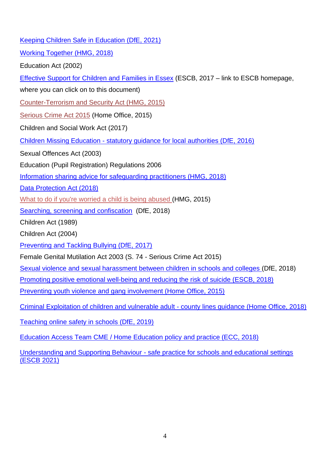| Keeping Children Safe in Education (DfE, 2021)                                                     |
|----------------------------------------------------------------------------------------------------|
| <b>Working Together (HMG, 2018)</b>                                                                |
| Education Act (2002)                                                                               |
| <b>Effective Support for Children and Families in Essex (ESCB, 2017 – link to ESCB homepage,</b>   |
| where you can click on to this document)                                                           |
| Counter-Terrorism and Security Act (HMG, 2015)                                                     |
| Serious Crime Act 2015 (Home Office, 2015)                                                         |
| Children and Social Work Act (2017)                                                                |
| Children Missing Education - statutory guidance for local authorities (DfE, 2016)                  |
| Sexual Offences Act (2003)                                                                         |
| Education (Pupil Registration) Regulations 2006                                                    |
| Information sharing advice for safeguarding practitioners (HMG, 2018)                              |
| Data Protection Act (2018)                                                                         |
| What to do if you're worried a child is being abused (HMG, 2015)                                   |
| Searching, screening and confiscation (DfE, 2018)                                                  |
| Children Act (1989)                                                                                |
| Children Act (2004)                                                                                |
| Preventing and Tackling Bullying (DfE, 2017)                                                       |
| Female Genital Mutilation Act 2003 (S. 74 - Serious Crime Act 2015)                                |
| Sexual violence and sexual harassment between children in schools and colleges (DfE, 2018)         |
| Promoting positive emotional well-being and reducing the risk of suicide (ESCB, 2018)              |
| Preventing youth violence and gang involvement (Home Office, 2015)                                 |
| Criminal Exploitation of children and vulnerable adult - county lines guidance (Home Office, 2018) |
| Teaching online safety in schools (DfE, 2019)                                                      |
| Education Access Team CME / Home Education policy and practice (ECC, 2018)                         |

Understanding and Supporting Behaviour - [safe practice for schools and educational settings](https://schools.essex.gov.uk/pupils/Safeguarding/Documents/Understanding%20and%20Supporting%20Behaviour%20-%20Safe%20Practice%20for%20Schools%20-%20Summer%202020.pdf)  [\(ESCB 2021\)](https://schools.essex.gov.uk/pupils/Safeguarding/Documents/Understanding%20and%20Supporting%20Behaviour%20-%20Safe%20Practice%20for%20Schools%20-%20Summer%202020.pdf)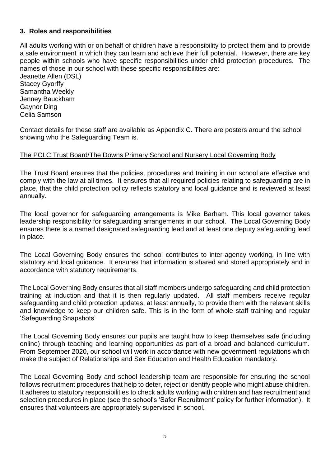#### **3. Roles and responsibilities**

All adults working with or on behalf of children have a responsibility to protect them and to provide a safe environment in which they can learn and achieve their full potential. However, there are key people within schools who have specific responsibilities under child protection procedures. The names of those in our school with these specific responsibilities are: Jeanette Allen (DSL)

Stacey Gyorffy Samantha Weekly Jenney Bauckham Gaynor Ding Celia Samson

Contact details for these staff are available as Appendix C. There are posters around the school showing who the Safeguarding Team is.

#### The PCLC Trust Board/The Downs Primary School and Nursery Local Governing Body

The Trust Board ensures that the policies, procedures and training in our school are effective and comply with the law at all times. It ensures that all required policies relating to safeguarding are in place, that the child protection policy reflects statutory and local guidance and is reviewed at least annually.

The local governor for safeguarding arrangements is Mike Barham. This local governor takes leadership responsibility for safeguarding arrangements in our school. The Local Governing Body ensures there is a named designated safeguarding lead and at least one deputy safeguarding lead in place.

The Local Governing Body ensures the school contributes to inter-agency working, in line with statutory and local guidance. It ensures that information is shared and stored appropriately and in accordance with statutory requirements.

The Local Governing Body ensures that all staff members undergo safeguarding and child protection training at induction and that it is then regularly updated. All staff members receive regular safeguarding and child protection updates, at least annually, to provide them with the relevant skills and knowledge to keep our children safe. This is in the form of whole staff training and regular 'Safeguarding Snapshots'

The Local Governing Body ensures our pupils are taught how to keep themselves safe (including online) through teaching and learning opportunities as part of a broad and balanced curriculum. From September 2020, our school will work in accordance with new government regulations which make the subject of Relationships and Sex Education and Health Education mandatory.

The Local Governing Body and school leadership team are responsible for ensuring the school follows recruitment procedures that help to deter, reject or identify people who might abuse children. It adheres to statutory responsibilities to check adults working with children and has recruitment and selection procedures in place (see the school's 'Safer Recruitment' policy for further information). It ensures that volunteers are appropriately supervised in school.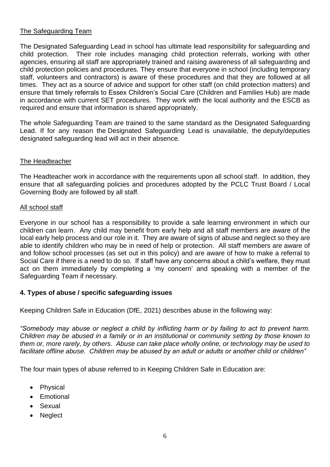### The Safeguarding Team

The Designated Safeguarding Lead in school has ultimate lead responsibility for safeguarding and child protection. Their role includes managing child protection referrals, working with other agencies, ensuring all staff are appropriately trained and raising awareness of all safeguarding and child protection policies and procedures. They ensure that everyone in school (including temporary staff, volunteers and contractors) is aware of these procedures and that they are followed at all times. They act as a source of advice and support for other staff (on child protection matters) and ensure that timely referrals to Essex Children's Social Care (Children and Families Hub) are made in accordance with current SET procedures. They work with the local authority and the ESCB as required and ensure that information is shared appropriately.

The whole Safeguarding Team are trained to the same standard as the Designated Safeguarding Lead. If for any reason the Designated Safeguarding Lead is unavailable, the deputy/deputies designated safeguarding lead will act in their absence*.* 

#### The Headteacher

The Headteacher work in accordance with the requirements upon all school staff. In addition, they ensure that all safeguarding policies and procedures adopted by the PCLC Trust Board / Local Governing Body are followed by all staff.

#### All school staff

Everyone in our school has a responsibility to provide a safe learning environment in which our children can learn. Any child may benefit from early help and all staff members are aware of the local early help process and our role in it. They are aware of signs of abuse and neglect so they are able to identify children who may be in need of help or protection. All staff members are aware of and follow school processes (as set out in this policy) and are aware of how to make a referral to Social Care if there is a need to do so. If staff have any concerns about a child's welfare, they must act on them immediately by completing a 'my concern' and speaking with a member of the Safeguarding Team if necessary.

### **4. Types of abuse / specific safeguarding issues**

Keeping Children Safe in Education (DfE, 2021) describes abuse in the following way:

*"Somebody may abuse or neglect a child by inflicting harm or by failing to act to prevent harm. Children may be abused in a family or in an institutional or community setting by those known to them or, more rarely, by others. Abuse can take place wholly online, or technology may be used to facilitate offline abuse. Children may be abused by an adult or adults or another child or children"*

The four main types of abuse referred to in Keeping Children Safe in Education are:

- Physical
- Emotional
- Sexual
- Neglect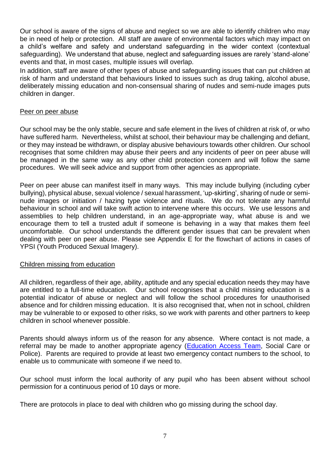Our school is aware of the signs of abuse and neglect so we are able to identify children who may be in need of help or protection. All staff are aware of environmental factors which may impact on a child's welfare and safety and understand safeguarding in the wider context (contextual safeguarding). We understand that abuse, neglect and safeguarding issues are rarely 'stand-alone' events and that, in most cases, multiple issues will overlap.

In addition, staff are aware of other types of abuse and safeguarding issues that can put children at risk of harm and understand that behaviours linked to issues such as drug taking, alcohol abuse, deliberately missing education and non-consensual sharing of nudes and semi-nude images puts children in danger.

#### Peer on peer abuse

Our school may be the only stable, secure and safe element in the lives of children at risk of, or who have suffered harm. Nevertheless, whilst at school, their behaviour may be challenging and defiant, or they may instead be withdrawn, or display abusive behaviours towards other children. Our school recognises that some children may abuse their peers and any incidents of peer on peer abuse will be managed in the same way as any other child protection concern and will follow the same procedures. We will seek advice and support from other agencies as appropriate.

Peer on peer abuse can manifest itself in many ways. This may include bullying (including cyber bullying), physical abuse, sexual violence / sexual harassment, 'up-skirting', sharing of nude or seminude images or initiation / hazing type violence and rituals. We do not tolerate any harmful behaviour in school and will take swift action to intervene where this occurs. We use lessons and assemblies to help children understand, in an age-appropriate way, what abuse is and we encourage them to tell a trusted adult if someone is behaving in a way that makes them feel uncomfortable. Our school understands the different gender issues that can be prevalent when dealing with peer on peer abuse. Please see Appendix E for the flowchart of actions in cases of YPSI (Youth Produced Sexual Imagery).

#### Children missing from education

All children, regardless of their age, ability, aptitude and any special education needs they may have are entitled to a full-time education. Our school recognises that a child missing education is a potential indicator of abuse or neglect and will follow the school procedures for unauthorised absence and for children missing education. It is also recognised that, when not in school, children may be vulnerable to or exposed to other risks, so we work with parents and other partners to keep children in school whenever possible.

Parents should always inform us of the reason for any absence. Where contact is not made, a referral may be made to another appropriate agency [\(Education Access Team,](https://schools.essex.gov.uk/pupils/Education_Access/Pages/default.aspx) Social Care or Police). Parents are required to provide at least two emergency contact numbers to the school, to enable us to communicate with someone if we need to.

Our school must inform the local authority of any pupil who has been absent without school permission for a continuous period of 10 days or more.

There are protocols in place to deal with children who go missing during the school day.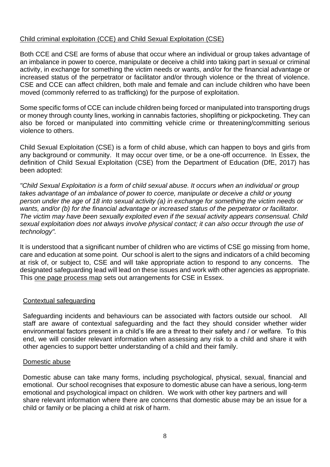### Child criminal exploitation (CCE) and Child Sexual Exploitation (CSE)

Both CCE and CSE are forms of abuse that occur where an individual or group takes advantage of an imbalance in power to coerce, manipulate or deceive a child into taking part in sexual or criminal activity, in exchange for something the victim needs or wants, and/or for the financial advantage or increased status of the perpetrator or facilitator and/or through violence or the threat of violence. CSE and CCE can affect children, both male and female and can include children who have been moved (commonly referred to as trafficking) for the purpose of exploitation.

Some specific forms of CCE can include children being forced or manipulated into transporting drugs or money through county lines, working in cannabis factories, shoplifting or pickpocketing. They can also be forced or manipulated into committing vehicle crime or threatening/committing serious violence to others.

Child Sexual Exploitation (CSE) is a form of child abuse, which can happen to boys and girls from any background or community. It may occur over time, or be a one-off occurrence. In Essex, the definition of Child Sexual Exploitation (CSE) from the Department of Education (DfE, 2017) has been adopted:

*"Child Sexual Exploitation is a form of child sexual abuse. It occurs when an individual or group*  takes advantage of an imbalance of power to coerce, manipulate or deceive a child or young *person under the age of 18 into sexual activity (a) in exchange for something the victim needs or wants, and/or (b) for the financial advantage or increased status of the perpetrator or facilitator. The victim may have been sexually exploited even if the sexual activity appears consensual. Child sexual exploitation does not always involve physical contact; it can also occur through the use of technology".*

It is understood that a significant number of children who are victims of CSE go missing from home, care and education at some point. Our school is alert to the signs and indicators of a child becoming at risk of, or subject to, CSE and will take appropriate action to respond to any concerns. The designated safeguarding lead will lead on these issues and work with other agencies as appropriate. This [one page process map](https://www.escb.co.uk/media/2075/cse-1-pager-sept-2019.pdf) sets out arrangements for CSE in Essex.

#### Contextual safeguarding

Safeguarding incidents and behaviours can be associated with factors outside our school. All staff are aware of contextual safeguarding and the fact they should consider whether wider environmental factors present in a child's life are a threat to their safety and / or welfare. To this end, we will consider relevant information when assessing any risk to a child and share it with other agencies to support better understanding of a child and their family.

#### Domestic abuse

Domestic abuse can take many forms, including psychological, physical, sexual, financial and emotional. Our school recognises that exposure to domestic abuse can have a serious, long-term emotional and psychological impact on children. We work with other key partners and will share relevant information where there are concerns that domestic abuse may be an issue for a child or family or be placing a child at risk of harm.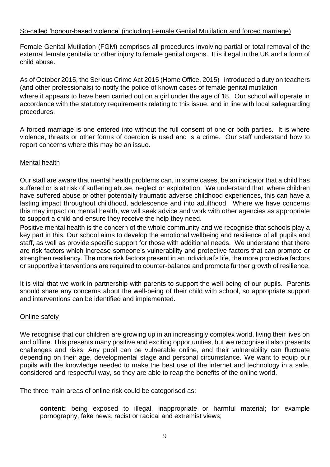#### So-called 'honour-based violence' (including Female Genital Mutilation and forced marriage)

Female Genital Mutilation (FGM) comprises all procedures involving partial or total removal of the external female genitalia or other injury to female genital organs. It is illegal in the UK and a form of child abuse.

As of October 2015, the Serious Crime Act 2015 (Home Office, 2015) introduced a duty on teachers (and other professionals) to notify the police of known cases of female genital mutilation where it appears to have been carried out on a girl under the age of 18. Our school will operate in accordance with the statutory requirements relating to this issue, and in line with local safeguarding procedures.

A forced marriage is one entered into without the full consent of one or both parties. It is where violence, threats or other forms of coercion is used and is a crime. Our staff understand how to report concerns where this may be an issue.

#### Mental health

Our staff are aware that mental health problems can, in some cases, be an indicator that a child has suffered or is at risk of suffering abuse, neglect or exploitation. We understand that, where children have suffered abuse or other potentially traumatic adverse childhood experiences, this can have a lasting impact throughout childhood, adolescence and into adulthood. Where we have concerns this may impact on mental health, we will seek advice and work with other agencies as appropriate to support a child and ensure they receive the help they need.

Positive mental health is the concern of the whole community and we recognise that schools play a key part in this. Our school aims to develop the emotional wellbeing and resilience of all pupils and staff, as well as provide specific support for those with additional needs. We understand that there are risk factors which increase someone's vulnerability and protective factors that can promote or strengthen resiliency. The more risk factors present in an individual's life, the more protective factors or supportive interventions are required to counter-balance and promote further growth of resilience.

It is vital that we work in partnership with parents to support the well-being of our pupils. Parents should share any concerns about the well-being of their child with school, so appropriate support and interventions can be identified and implemented.

#### Online safety

We recognise that our children are growing up in an increasingly complex world, living their lives on and offline. This presents many positive and exciting opportunities, but we recognise it also presents challenges and risks. Any pupil can be vulnerable online, and their vulnerability can fluctuate depending on their age, developmental stage and personal circumstance. We want to equip our pupils with the knowledge needed to make the best use of the internet and technology in a safe, considered and respectful way, so they are able to reap the benefits of the online world.

The three main areas of online risk could be categorised as:

**content:** being exposed to illegal, inappropriate or harmful material; for example pornography, fake news, racist or radical and extremist views;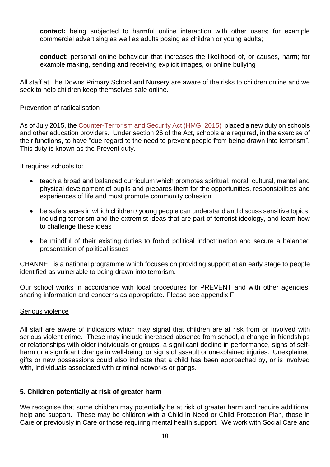**contact:** being subjected to harmful online interaction with other users; for example commercial advertising as well as adults posing as children or young adults;

**conduct:** personal online behaviour that increases the likelihood of, or causes, harm; for example making, sending and receiving explicit images, or online bullying

All staff at The Downs Primary School and Nursery are aware of the risks to children online and we seek to help children keep themselves safe online.

#### Prevention of radicalisation

As of July 2015, the [Counter-Terrorism and Security Act \(HMG, 2015\)](http://www.legislation.gov.uk/ukpga/2015/6/contents) placed a new duty on schools and other education providers. Under section 26 of the Act, schools are required, in the exercise of their functions, to have "due regard to the need to prevent people from being drawn into terrorism". This duty is known as the Prevent duty.

It requires schools to:

- teach a broad and balanced curriculum which promotes spiritual, moral, cultural, mental and physical development of pupils and prepares them for the opportunities, responsibilities and experiences of life and must promote community cohesion
- be safe spaces in which children / young people can understand and discuss sensitive topics, including terrorism and the extremist ideas that are part of terrorist ideology, and learn how to challenge these ideas
- be mindful of their existing duties to forbid political indoctrination and secure a balanced presentation of political issues

CHANNEL is a national programme which focuses on providing support at an early stage to people identified as vulnerable to being drawn into terrorism.

Our school works in accordance with local procedures for PREVENT and with other agencies, sharing information and concerns as appropriate. Please see appendix F.

#### Serious violence

All staff are aware of indicators which may signal that children are at risk from or involved with serious violent crime. These may include increased absence from school, a change in friendships or relationships with older individuals or groups, a significant decline in performance, signs of selfharm or a significant change in well-being, or signs of assault or unexplained injuries. Unexplained gifts or new possessions could also indicate that a child has been approached by, or is involved with, individuals associated with criminal networks or gangs.

### **5. Children potentially at risk of greater harm**

We recognise that some children may potentially be at risk of greater harm and require additional help and support. These may be children with a Child in Need or Child Protection Plan, those in Care or previously in Care or those requiring mental health support. We work with Social Care and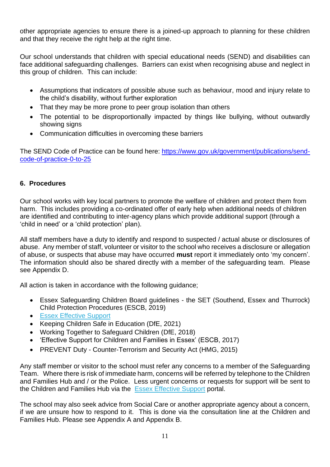other appropriate agencies to ensure there is a joined-up approach to planning for these children and that they receive the right help at the right time.

Our school understands that children with special educational needs (SEND) and disabilities can face additional safeguarding challenges. Barriers can exist when recognising abuse and neglect in this group of children. This can include:

- Assumptions that indicators of possible abuse such as behaviour, mood and injury relate to the child's disability, without further exploration
- That they may be more prone to peer group isolation than others
- The potential to be disproportionally impacted by things like bullying, without outwardly showing signs
- Communication difficulties in overcoming these barriers

The SEND Code of Practice can be found here: [https://www.gov.uk/government/publications/send](https://www.gov.uk/government/publications/send-code-of-practice-0-to-25)[code-of-practice-0-to-25](https://www.gov.uk/government/publications/send-code-of-practice-0-to-25)

### **6. Procedures**

Our school works with key local partners to promote the welfare of children and protect them from harm. This includes providing a co-ordinated offer of early help when additional needs of children are identified and contributing to inter-agency plans which provide additional support (through a 'child in need' or a 'child protection' plan).

All staff members have a duty to identify and respond to suspected / actual abuse or disclosures of abuse. Any member of staff, volunteer or visitor to the school who receives a disclosure or allegation of abuse, or suspects that abuse may have occurred **must** report it immediately onto 'my concern'. The information should also be shared directly with a member of the safeguarding team. Please see Appendix D.

All action is taken in accordance with the following guidance;

- Essex Safeguarding Children Board guidelines the SET (Southend, Essex and Thurrock) Child Protection Procedures (ESCB, 2019)
- [Essex Effective Support](http://links.govdelivery.com/track?type=click&enid=ZWFzPTEmbWFpbGluZ2lkPTIwMTgwNDExLjg4MjIzMTExJm1lc3NhZ2VpZD1NREItUFJELUJVTC0yMDE4MDQxMS44ODIyMzExMSZkYXRhYmFzZWlkPTEwMDEmc2VyaWFsPTE3MzE0NjA5JmVtYWlsaWQ9am8uYmFyY2xheUBlc3NleC5nb3YudWsmdXNlcmlkPWpvLmJhcmNsYXlAZXNzZXguZ292LnVrJmZsPSZleHRyYT1NdWx0aXZhcmlhdGVJZD0mJiY=&&&100&&&https://www.essexeffectivesupport.org.uk/)
- Keeping Children Safe in Education (DfE, 2021)
- Working Together to Safeguard Children (DfE, 2018)
- 'Effective Support for Children and Families in Essex' (ESCB, 2017)
- PREVENT Duty Counter-Terrorism and Security Act (HMG, 2015)

Any staff member or visitor to the school must refer any concerns to a member of the Safeguarding Team. Where there is risk of immediate harm, concerns will be referred by telephone to the Children and Families Hub and / or the Police. Less urgent concerns or requests for support will be sent to the Children and Families Hub via the [Essex Effective Support](http://links.govdelivery.com/track?type=click&enid=ZWFzPTEmbWFpbGluZ2lkPTIwMTgwNDExLjg4MjIzMTExJm1lc3NhZ2VpZD1NREItUFJELUJVTC0yMDE4MDQxMS44ODIyMzExMSZkYXRhYmFzZWlkPTEwMDEmc2VyaWFsPTE3MzE0NjA5JmVtYWlsaWQ9am8uYmFyY2xheUBlc3NleC5nb3YudWsmdXNlcmlkPWpvLmJhcmNsYXlAZXNzZXguZ292LnVrJmZsPSZleHRyYT1NdWx0aXZhcmlhdGVJZD0mJiY=&&&100&&&https://www.essexeffectivesupport.org.uk/) portal.

The school may also seek advice from Social Care or another appropriate agency about a concern, if we are unsure how to respond to it. This is done via the consultation line at the Children and Families Hub. Please see Appendix A and Appendix B.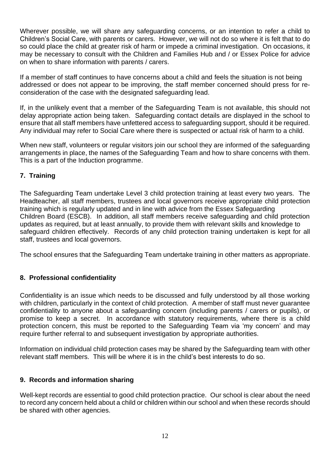Wherever possible, we will share any safeguarding concerns, or an intention to refer a child to Children's Social Care, with parents or carers. However, we will not do so where it is felt that to do so could place the child at greater risk of harm or impede a criminal investigation. On occasions, it may be necessary to consult with the Children and Families Hub and / or Essex Police for advice on when to share information with parents / carers.

If a member of staff continues to have concerns about a child and feels the situation is not being addressed or does not appear to be improving, the staff member concerned should press for reconsideration of the case with the designated safeguarding lead.

If, in the unlikely event that a member of the Safeguarding Team is not available, this should not delay appropriate action being taken. Safeguarding contact details are displayed in the school to ensure that all staff members have unfettered access to safeguarding support, should it be required. Any individual may refer to Social Care where there is suspected or actual risk of harm to a child.

When new staff, volunteers or regular visitors join our school they are informed of the safeguarding arrangements in place, the names of the Safeguarding Team and how to share concerns with them. This is a part of the Induction programme.

# **7. Training**

The Safeguarding Team undertake Level 3 child protection training at least every two years. The Headteacher, all staff members, trustees and local governors receive appropriate child protection training which is regularly updated and in line with advice from the Essex Safeguarding Children Board (ESCB). In addition, all staff members receive safeguarding and child protection updates as required, but at least annually, to provide them with relevant skills and knowledge to safeguard children effectively. Records of any child protection training undertaken is kept for all staff, trustees and local governors.

The school ensures that the Safeguarding Team undertake training in other matters as appropriate.

### **8. Professional confidentiality**

Confidentiality is an issue which needs to be discussed and fully understood by all those working with children, particularly in the context of child protection. A member of staff must never guarantee confidentiality to anyone about a safeguarding concern (including parents / carers or pupils), or promise to keep a secret. In accordance with statutory requirements, where there is a child protection concern, this must be reported to the Safeguarding Team via 'my concern' and may require further referral to and subsequent investigation by appropriate authorities.

Information on individual child protection cases may be shared by the Safeguarding team with other relevant staff members. This will be where it is in the child's best interests to do so.

### **9. Records and information sharing**

Well-kept records are essential to good child protection practice. Our school is clear about the need to record any concern held about a child or children within our school and when these records should be shared with other agencies.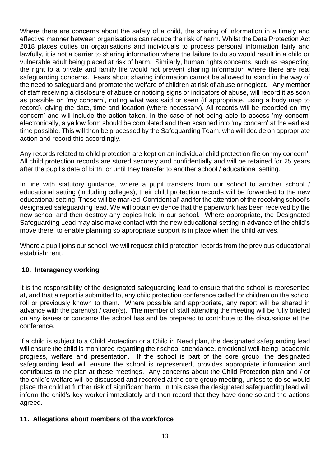Where there are concerns about the safety of a child, the sharing of information in a timely and effective manner between organisations can reduce the risk of harm. Whilst the Data Protection Act 2018 places duties on organisations and individuals to process personal information fairly and lawfully, it is not a barrier to sharing information where the failure to do so would result in a child or vulnerable adult being placed at risk of harm. Similarly, human rights concerns, such as respecting the right to a private and family life would not prevent sharing information where there are real safeguarding concerns. Fears about sharing information cannot be allowed to stand in the way of the need to safeguard and promote the welfare of children at risk of abuse or neglect. Any member of staff receiving a disclosure of abuse or noticing signs or indicators of abuse, will record it as soon as possible on 'my concern', noting what was said or seen (if appropriate, using a body map to record), giving the date, time and location (where necessary). All records will be recorded on 'my concern' and will include the action taken. In the case of not being able to access 'my concern' electronically, a yellow form should be completed and then scanned into 'my concern' at the earliest time possible. This will then be processed by the Safeguarding Team, who will decide on appropriate action and record this accordingly.

Any records related to child protection are kept on an individual child protection file on 'my concern'. All child protection records are stored securely and confidentially and will be retained for 25 years after the pupil's date of birth, or until they transfer to another school / educational setting.

In line with statutory guidance, where a pupil transfers from our school to another school / educational setting (including colleges), their child protection records will be forwarded to the new educational setting. These will be marked 'Confidential' and for the attention of the receiving school's designated safeguarding lead. We will obtain evidence that the paperwork has been received by the new school and then destroy any copies held in our school. Where appropriate, the Designated Safeguarding Lead may also make contact with the new educational setting in advance of the child's move there, to enable planning so appropriate support is in place when the child arrives.

Where a pupil joins our school, we will request child protection records from the previous educational establishment.

### **10. Interagency working**

It is the responsibility of the designated safeguarding lead to ensure that the school is represented at, and that a report is submitted to, any child protection conference called for children on the school roll or previously known to them. Where possible and appropriate, any report will be shared in advance with the parent(s) / carer(s). The member of staff attending the meeting will be fully briefed on any issues or concerns the school has and be prepared to contribute to the discussions at the conference.

If a child is subject to a Child Protection or a Child in Need plan, the designated safeguarding lead will ensure the child is monitored regarding their school attendance, emotional well-being, academic progress, welfare and presentation. If the school is part of the core group, the designated safeguarding lead will ensure the school is represented, provides appropriate information and contributes to the plan at these meetings. Any concerns about the Child Protection plan and / or the child's welfare will be discussed and recorded at the core group meeting, unless to do so would place the child at further risk of significant harm. In this case the designated safeguarding lead will inform the child's key worker immediately and then record that they have done so and the actions agreed.

#### **11. Allegations about members of the workforce**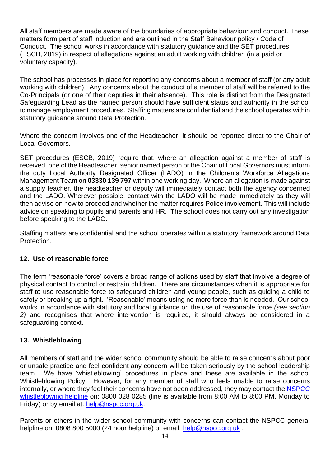All staff members are made aware of the boundaries of appropriate behaviour and conduct. These matters form part of staff induction and are outlined in the Staff Behaviour policy / Code of Conduct. The school works in accordance with statutory guidance and the SET procedures (ESCB, 2019) in respect of allegations against an adult working with children (in a paid or voluntary capacity).

The school has processes in place for reporting any concerns about a member of staff (or any adult working with children). Any concerns about the conduct of a member of staff will be referred to the Co-Principals (or one of their deputies in their absence). This role is distinct from the Designated Safeguarding Lead as the named person should have sufficient status and authority in the school to manage employment procedures. Staffing matters are confidential and the school operates within statutory guidance around Data Protection.

Where the concern involves one of the Headteacher, it should be reported direct to the Chair of Local Governors.

SET procedures (ESCB, 2019) require that, where an allegation against a member of staff is received, one of the Headteacher, senior named person or the Chair of Local Governors must inform the duty Local Authority Designated Officer (LADO) in the Children's Workforce Allegations Management Team on **03330 139 797** within one working day. Where an allegation is made against a supply teacher, the headteacher or deputy will immediately contact both the agency concerned and the LADO. Wherever possible, contact with the LADO will be made immediately as they will then advise on how to proceed and whether the matter requires Police involvement. This will include advice on speaking to pupils and parents and HR. The school does not carry out any investigation before speaking to the LADO.

Staffing matters are confidential and the school operates within a statutory framework around Data Protection.

### **12. Use of reasonable force**

The term 'reasonable force' covers a broad range of actions used by staff that involve a degree of physical contact to control or restrain children. There are circumstances when it is appropriate for staff to use reasonable force to safeguard children and young people, such as guiding a child to safety or breaking up a fight. 'Reasonable' means using no more force than is needed. Our school works in accordance with statutory and local guidance on the use of reasonable force *(see section 2)* and recognises that where intervention is required, it should always be considered in a safeguarding context.

### **13. Whistleblowing**

All members of staff and the wider school community should be able to raise concerns about poor or unsafe practice and feel confident any concern will be taken seriously by the school leadership team. We have 'whistleblowing' procedures in place and these are available in the school Whistleblowing Policy. However, for any member of staff who feels unable to raise concerns internally, or where they feel their concerns have not been addressed, they may contact the [NSPCC](https://www.nspcc.org.uk/what-you-can-do/report-abuse/dedicated-helplines/whistleblowing-advice-line/)  [whistleblowing helpline](https://www.nspcc.org.uk/what-you-can-do/report-abuse/dedicated-helplines/whistleblowing-advice-line/) on: 0800 028 0285 (line is available from 8:00 AM to 8:00 PM, Monday to Friday) or by email at: [help@nspcc.org.uk.](mailto:help@nspcc.org.uk)

Parents or others in the wider school community with concerns can contact the NSPCC general helpline on: 0808 800 5000 (24 hour helpline) or email: [help@nspcc.org.uk](mailto:help@nspcc.org.uk).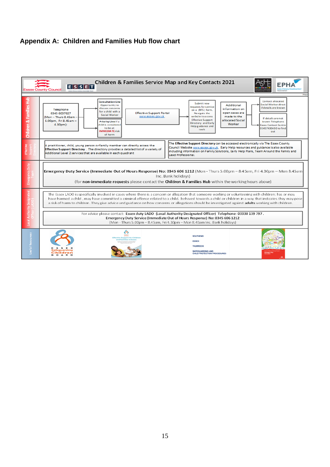### **Appendix A: Children and Families Hub flow chart**

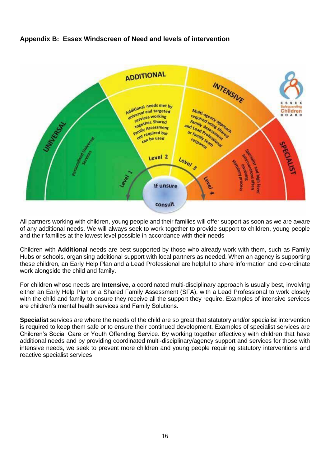# **Appendix B: Essex Windscreen of Need and levels of intervention**



All partners working with children, young people and their families will offer support as soon as we are aware of any additional needs. We will always seek to work together to provide support to children, young people and their families at the lowest level possible in accordance with their needs

Children with **Additional** needs are best supported by those who already work with them, such as Family Hubs or schools, organising additional support with local partners as needed. When an agency is supporting these children, an Early Help Plan and a Lead Professional are helpful to share information and co-ordinate work alongside the child and family.

For children whose needs are **Intensive**, a coordinated multi-disciplinary approach is usually best, involving either an Early Help Plan or a Shared Family Assessment (SFA), with a Lead Professional to work closely with the child and family to ensure they receive all the support they require. Examples of intensive services are children's mental health services and Family Solutions.

**Specialist** services are where the needs of the child are so great that statutory and/or specialist intervention is required to keep them safe or to ensure their continued development. Examples of specialist services are Children's Social Care or Youth Offending Service. By working together effectively with children that have additional needs and by providing coordinated multi-disciplinary/agency support and services for those with intensive needs, we seek to prevent more children and young people requiring statutory interventions and reactive specialist services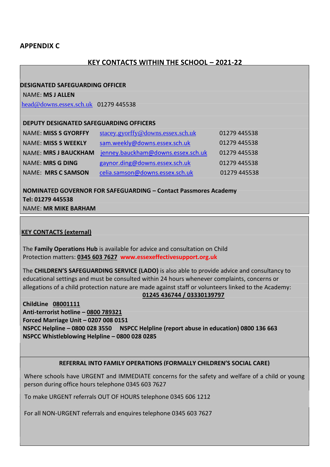#### **APPENDIX C**

#### **KEY CONTACTS WITHIN THE SCHOOL – 2021-22**

#### **DESIGNATED SAFEGUARDING OFFICER**

NAME: **MS J ALLEN**

[head@downs.essex.sch.uk](mailto:head@downs.essex.sch.uk) 01279 445538

#### **DEPUTY DESIGNATED SAFEGUARDING OFFICERS**

| <b>NAME: MISS S GYORFFY</b> | stacey.gyorffy@downs.essex.sch.uk  | 01279 445538 |
|-----------------------------|------------------------------------|--------------|
| <b>NAME: MISS S WEEKLY</b>  | sam.weekly@downs.essex.sch.uk      | 01279 445538 |
| <b>NAME: MRS J BAUCKHAM</b> | jenney.bauckham@downs.essex.sch.uk | 01279 445538 |
| <b>NAME: MRS G DING</b>     | gaynor.ding@downs.essex.sch.uk     | 01279 445538 |
| <b>NAME: MRS C SAMSON</b>   | celia.samson@downs.essex.sch.uk    | 01279 445538 |

**NOMINATED GOVERNOR FOR SAFEGUARDING – Contact Passmores Academy Tel: 01279 445538** NAME: **MR MIKE BARHAM**

#### **KEY CONTACTS (external)**

The **Family Operations Hub** is available for advice and consultation on Child Protection matters: **0345 603 7627 www.essexeffectivesupport.org.uk**

The **CHILDREN'S SAFEGUARDING SERVICE (LADO)** is also able to provide advice and consultancy to educational settings and must be consulted within 24 hours whenever complaints, concerns or allegations of a child protection nature are made against staff or volunteers linked to the Academy:

#### **01245 436744 / 03330139797**

 **ChildLine 08001111 Anti-terrorist hotline – 0800 789321 Forced Marriage Unit – 0207 008 0151 NSPCC Helpline – 0800 028 3550 NSPCC Helpline (report abuse in education) 0800 136 663 NSPCC Whistleblowing Helpline – 0800 028 0285**

#### **REFERRAL INTO FAMILY OPERATIONS (FORMALLY CHILDREN'S SOCIAL CARE)**

Where schools have URGENT and IMMEDIATE concerns for the safety and welfare of a child or young person during office hours telephone 0345 603 7627

To make URGENT referrals OUT OF HOURS telephone 0345 606 1212

For all NON-URGENT referrals and enquires telephone 0345 603 7627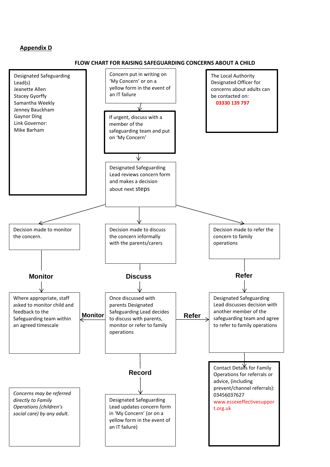#### **Appendix D**

#### **FLOW CHART FOR RAISING SAFEGUARDING CONCERNS ABOUT A CHILD**

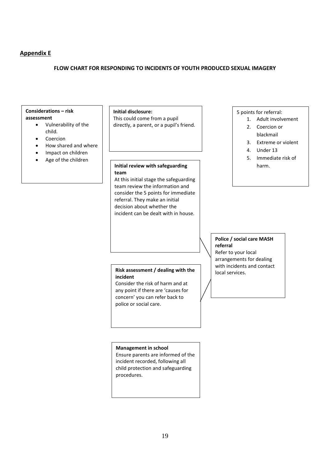#### **Appendix E**

#### **FLOW CHART FOR RESPONDING TO INCIDENTS OF YOUTH PRODUCED SEXUAL IMAGERY**

# **Considerations – risk**

#### **assessment**

- Vulnerability of the child.
- Coercion
- How shared and where
- Impact on children
- Age of the children

**Initial disclosure:** This could come from a pupil directly, a parent, or a pupil's friend.

#### Initial **Initial review with safeguarding team**

At this initial stage the safeguarding team review the information and consider the 5 points for immediate referral. They make an initial decision about whether the incident can be dealt with in house.

#### 5 points for referral:

- 1. Adult involvement
- 2. Coercion or
- blackmail
- 3. Extreme or violent
- 4. Under 13
- 5. Immediate risk of harm.

#### **Police / social care MASH referral**

Refer to your local arrangements for dealing with incidents and contact local services.

#### **Risk assessment / dealing with the incident**

Consider the risk of harm and at any point if there are 'causes for concern' you can refer back to police or social care.

#### **Management in school**

Ensure parents are informed of the incident recorded, following all child protection and safeguarding procedures.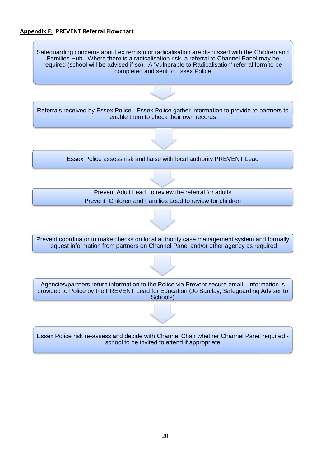